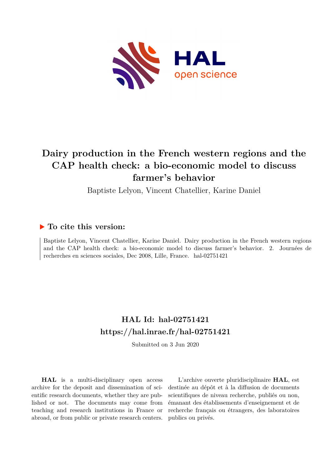

# **Dairy production in the French western regions and the CAP health check: a bio-economic model to discuss farmer's behavior**

Baptiste Lelyon, Vincent Chatellier, Karine Daniel

# **To cite this version:**

Baptiste Lelyon, Vincent Chatellier, Karine Daniel. Dairy production in the French western regions and the CAP health check: a bio-economic model to discuss farmer's behavior. 2. Journées de recherches en sciences sociales, Dec 2008, Lille, France. hal-02751421

# **HAL Id: hal-02751421 <https://hal.inrae.fr/hal-02751421>**

Submitted on 3 Jun 2020

**HAL** is a multi-disciplinary open access archive for the deposit and dissemination of scientific research documents, whether they are published or not. The documents may come from teaching and research institutions in France or abroad, or from public or private research centers.

L'archive ouverte pluridisciplinaire **HAL**, est destinée au dépôt et à la diffusion de documents scientifiques de niveau recherche, publiés ou non, émanant des établissements d'enseignement et de recherche français ou étrangers, des laboratoires publics ou privés.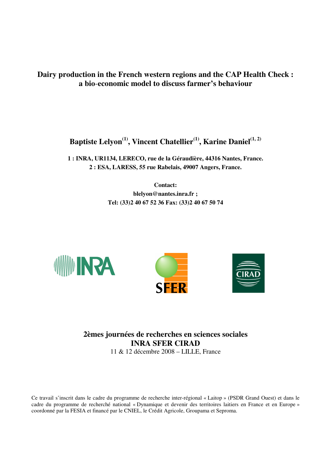**Dairy production in the French western regions and the CAP Health Check : a bio**-**economic model to discuss farmer's behaviour** 

**Baptiste Lelyon(1), Vincent Chatellier(1), Karine Daniel(1, 2)** 

**1 : INRA, UR1134, LERECO, rue de la Géraudière, 44316 Nantes, France. 2 : ESA, LARESS, 55 rue Rabelais, 49007 Angers, France.** 

> **Contact: blelyon@nantes.inra.fr ; Tel: (33)2 40 67 52 36 Fax: (33)2 40 67 50 74**





**2èmes journées de recherches en sciences sociales INRA SFER CIRAD**  11 & 12 décembre 2008 – LILLE, France

Ce travail s'inscrit dans le cadre du programme de recherche inter-régional « Laitop » (PSDR Grand Ouest) et dans le cadre du programme de recherché national « Dynamique et devenir des territoires laitiers en France et en Europe » coordonné par la FESIA et financé par le CNIEL, le Crédit Agricole, Groupama et Seproma.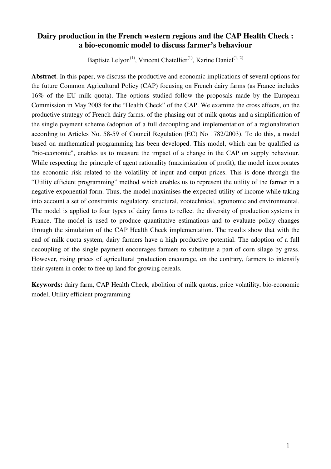## **Dairy production in the French western regions and the CAP Health Check : a bio-economic model to discuss farmer's behaviour**

Baptiste Lelyon<sup>(1)</sup>, Vincent Chatellier<sup>(1)</sup>, Karine Daniel<sup>(1, 2)</sup>

**Abstract**. In this paper, we discuss the productive and economic implications of several options for the future Common Agricultural Policy (CAP) focusing on French dairy farms (as France includes 16% of the EU milk quota). The options studied follow the proposals made by the European Commission in May 2008 for the "Health Check" of the CAP. We examine the cross effects, on the productive strategy of French dairy farms, of the phasing out of milk quotas and a simplification of the single payment scheme (adoption of a full decoupling and implementation of a regionalization according to Articles No. 58-59 of Council Regulation (EC) No 1782/2003). To do this, a model based on mathematical programming has been developed. This model, which can be qualified as "bio-economic", enables us to measure the impact of a change in the CAP on supply behaviour. While respecting the principle of agent rationality (maximization of profit), the model incorporates the economic risk related to the volatility of input and output prices. This is done through the "Utility efficient programming" method which enables us to represent the utility of the farmer in a negative exponential form. Thus, the model maximises the expected utility of income while taking into account a set of constraints: regulatory, structural, zootechnical, agronomic and environmental. The model is applied to four types of dairy farms to reflect the diversity of production systems in France. The model is used to produce quantitative estimations and to evaluate policy changes through the simulation of the CAP Health Check implementation. The results show that with the end of milk quota system, dairy farmers have a high productive potential. The adoption of a full decoupling of the single payment encourages farmers to substitute a part of corn silage by grass. However, rising prices of agricultural production encourage, on the contrary, farmers to intensify their system in order to free up land for growing cereals.

**Keywords:** dairy farm, CAP Health Check, abolition of milk quotas, price volatility, bio-economic model, Utility efficient programming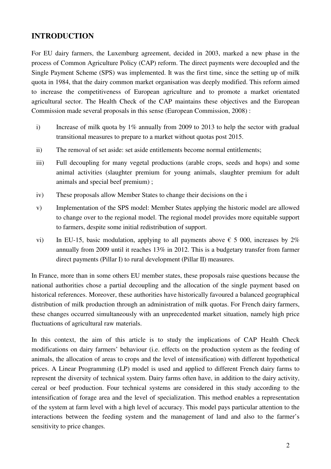# **INTRODUCTION**

For EU dairy farmers, the Luxemburg agreement, decided in 2003, marked a new phase in the process of Common Agriculture Policy (CAP) reform. The direct payments were decoupled and the Single Payment Scheme (SPS) was implemented. It was the first time, since the setting up of milk quota in 1984, that the dairy common market organisation was deeply modified. This reform aimed to increase the competitiveness of European agriculture and to promote a market orientated agricultural sector. The Health Check of the CAP maintains these objectives and the European Commission made several proposals in this sense (European Commission, 2008) :

- i) Increase of milk quota by 1% annually from 2009 to 2013 to help the sector with gradual transitional measures to prepare to a market without quotas post 2015.
- ii) The removal of set aside: set aside entitlements become normal entitlements;
- iii) Full decoupling for many vegetal productions (arable crops, seeds and hops) and some animal activities (slaughter premium for young animals, slaughter premium for adult animals and special beef premium) ;
- iv) These proposals allow Member States to change their decisions on the i
- v) Implementation of the SPS model: Member States applying the historic model are allowed to change over to the regional model. The regional model provides more equitable support to farmers, despite some initial redistribution of support.
- vi) In EU-15, basic modulation, applying to all payments above  $\epsilon$  5 000, increases by 2% annually from 2009 until it reaches 13% in 2012. This is a budgetary transfer from farmer direct payments (Pillar I) to rural development (Pillar II) measures.

In France, more than in some others EU member states, these proposals raise questions because the national authorities chose a partial decoupling and the allocation of the single payment based on historical references. Moreover, these authorities have historically favoured a balanced geographical distribution of milk production through an administration of milk quotas. For French dairy farmers, these changes occurred simultaneously with an unprecedented market situation, namely high price fluctuations of agricultural raw materials.

In this context, the aim of this article is to study the implications of CAP Health Check modifications on dairy farmers' behaviour (i.e. effects on the production system as the feeding of animals, the allocation of areas to crops and the level of intensification) with different hypothetical prices. A Linear Programming (LP) model is used and applied to different French dairy farms to represent the diversity of technical system. Dairy farms often have, in addition to the dairy activity, cereal or beef production. Four technical systems are considered in this study according to the intensification of forage area and the level of specialization. This method enables a representation of the system at farm level with a high level of accuracy. This model pays particular attention to the interactions between the feeding system and the management of land and also to the farmer's sensitivity to price changes.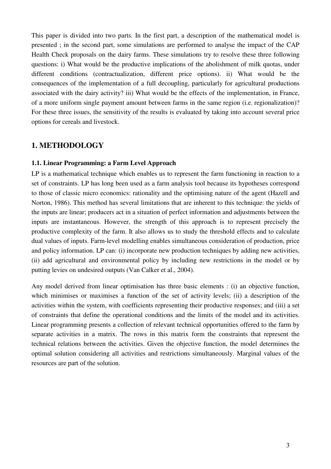This paper is divided into two parts. In the first part, a description of the mathematical model is presented ; in the second part, some simulations are performed to analyse the impact of the CAP Health Check proposals on the dairy farms. These simulations try to resolve these three following questions: i) What would be the productive implications of the abolishment of milk quotas, under different conditions (contractualization, different price options). ii) What would be the consequences of the implementation of a full decoupling, particularly for agricultural productions associated with the dairy activity? iii) What would be the effects of the implementation, in France, of a more uniform single payment amount between farms in the same region (i.e. regionalization)? For these three issues, the sensitivity of the results is evaluated by taking into account several price options for cereals and livestock.

## **1. METHODOLOGY**

#### **1.1. Linear Programming: a Farm Level Approach**

LP is a mathematical technique which enables us to represent the farm functioning in reaction to a set of constraints. LP has long been used as a farm analysis tool because its hypotheses correspond to those of classic micro economics: rationality and the optimising nature of the agent (Hazell and Norton, 1986). This method has several limitations that are inherent to this technique: the yields of the inputs are linear; producers act in a situation of perfect information and adjustments between the inputs are instantaneous. However, the strength of this approach is to represent precisely the productive complexity of the farm. It also allows us to study the threshold effects and to calculate dual values of inputs. Farm-level modelling enables simultaneous consideration of production, price and policy information. LP can: (i) incorporate new production techniques by adding new activities, (ii) add agricultural and environmental policy by including new restrictions in the model or by putting levies on undesired outputs (Van Calker et al., 2004).

Any model derived from linear optimisation has three basic elements : (i) an objective function, which minimises or maximises a function of the set of activity levels; (ii) a description of the activities within the system, with coefficients representing their productive responses; and (iii) a set of constraints that define the operational conditions and the limits of the model and its activities. Linear programming presents a collection of relevant technical opportunities offered to the farm by separate activities in a matrix. The rows in this matrix form the constraints that represent the technical relations between the activities. Given the objective function, the model determines the optimal solution considering all activities and restrictions simultaneously. Marginal values of the resources are part of the solution.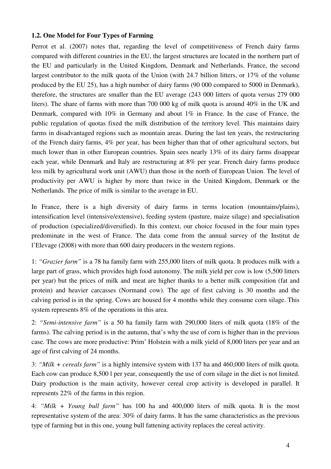#### **1.2. One Model for Four Types of Farming**

Perrot et al. (2007) notes that, regarding the level of competitiveness of French dairy farms compared with different countries in the EU, the largest structures are located in the northern part of the EU and particularly in the United Kingdom, Denmark and Netherlands. France, the second largest contributor to the milk quota of the Union (with 24.7 billion litters, or 17% of the volume produced by the EU 25), has a high number of dairy farms (90 000 compared to 5000 in Denmark), therefore, the structures are smaller than the EU average (243 000 litters of quota versus 279 000 liters). The share of farms with more than 700 000 kg of milk quota is around 40% in the UK and Denmark, compared with 10% in Germany and about 1% in France. In the case of France, the public regulation of quotas fixed the milk distribution of the territory level. This maintains dairy farms in disadvantaged regions such as mountain areas. During the last ten years, the restructuring of the French dairy farms, 4% per year, has been higher than that of other agricultural sectors, but much lower than in other European countries. Spain sees nearly 13% of its dairy farms disappear each year, while Denmark and Italy are restructuring at 8% per year. French dairy farms produce less milk by agricultural work unit (AWU) than those in the north of European Union. The level of productivity per AWU is higher by more than twice in the United Kingdom, Denmark or the Netherlands. The price of milk is similar to the average in EU.

In France, there is a high diversity of dairy farms in terms location (mountains/plains), intensification level (intensive/extensive), feeding system (pasture, maize silage) and specialisation of production (specialized/diversified). In this context, our choice focused in the four main types predominate in the west of France. The data come from the annual survey of the Institut de l'Elevage (2008) with more than 600 dairy producers in the western regions.

1: *"Grazier farm"* is a 78 ha family farm with 255,000 liters of milk quota. It produces milk with a large part of grass, which provides high food autonomy. The milk yield per cow is low (5,500 litters per year) but the prices of milk and meat are higher thanks to a better milk composition (fat and protein) and heavier carcasses (Normand cow). The age of first calving is 30 months and the calving period is in the spring. Cows are housed for 4 months while they consume corn silage. This system represents 8% of the operations in this area.

2: *"Semi-intensive farm"* is a 50 ha family farm with 290,000 liters of milk quota (18% of the farms). The calving period is in the autumn, that's why the use of corn is higher than in the previous case. The cows are more productive: Prim' Holstein with a milk yield of 8,000 liters per year and an age of first calving of 24 months.

3: *"Milk + cereals farm"* is a highly intensive system with 137 ha and 460,000 liters of milk quota. Each cow can produce 8,500 l per year, consequently the use of corn silage in the diet is not limited. Dairy production is the main activity, however cereal crop activity is developed in parallel. It represents 22% of the farms in this region.

4: *"Milk + Young bull farm"* has 100 ha and 400,000 liters of milk quota. It is the most representative system of the area: 30% of dairy farms. It has the same characteristics as the previous type of farming but in this one, young bull fattening activity replaces the cereal activity.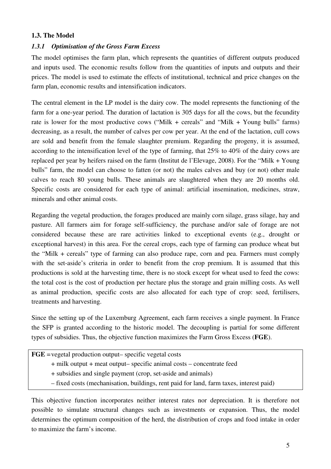## **1.3. The Model**

## *1.3.1 Optimisation of the Gross Farm Excess*

The model optimises the farm plan, which represents the quantities of different outputs produced and inputs used. The economic results follow from the quantities of inputs and outputs and their prices. The model is used to estimate the effects of institutional, technical and price changes on the farm plan, economic results and intensification indicators.

The central element in the LP model is the dairy cow. The model represents the functioning of the farm for a one-year period. The duration of lactation is 305 days for all the cows, but the fecundity rate is lower for the most productive cows ("Milk + cereals" and "Milk + Young bulls" farms) decreasing, as a result, the number of calves per cow per year. At the end of the lactation, cull cows are sold and benefit from the female slaughter premium. Regarding the progeny, it is assumed, according to the intensification level of the type of farming, that 25% to 40% of the dairy cows are replaced per year by heifers raised on the farm (Institut de l'Elevage, 2008). For the "Milk + Young bulls" farm, the model can choose to fatten (or not) the males calves and buy (or not) other male calves to reach 80 young bulls. These animals are slaughtered when they are 20 months old. Specific costs are considered for each type of animal: artificial insemination, medicines, straw, minerals and other animal costs.

Regarding the vegetal production, the forages produced are mainly corn silage, grass silage, hay and pasture. All farmers aim for forage self-sufficiency, the purchase and/or sale of forage are not considered because these are rare activities linked to exceptional events (e.g., drought or exceptional harvest) in this area. For the cereal crops, each type of farming can produce wheat but the "Milk + cereals" type of farming can also produce rape, corn and pea. Farmers must comply with the set-aside's criteria in order to benefit from the crop premium. It is assumed that this productions is sold at the harvesting time, there is no stock except for wheat used to feed the cows: the total cost is the cost of production per hectare plus the storage and grain milling costs. As well as animal production, specific costs are also allocated for each type of crop: seed, fertilisers, treatments and harvesting.

Since the setting up of the Luxemburg Agreement, each farm receives a single payment. In France the SFP is granted according to the historic model. The decoupling is partial for some different types of subsidies. Thus, the objective function maximizes the Farm Gross Excess (**FGE**).

| $\overline{FGE}$ = vegetal production output – specific vegetal costs                   |
|-----------------------------------------------------------------------------------------|
| + milk output + meat output- specific animal costs - concentrate feed                   |
| + subsidies and single payment (crop, set-aside and animals)                            |
| - fixed costs (mechanisation, buildings, rent paid for land, farm taxes, interest paid) |
|                                                                                         |

This objective function incorporates neither interest rates nor depreciation. It is therefore not possible to simulate structural changes such as investments or expansion. Thus, the model determines the optimum composition of the herd, the distribution of crops and food intake in order to maximize the farm's income.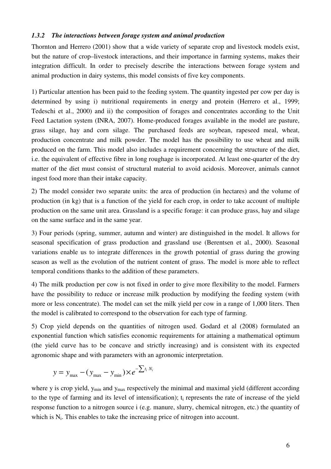#### *1.3.2 The interactions between forage system and animal production*

Thornton and Herrero (2001) show that a wide variety of separate crop and livestock models exist, but the nature of crop–livestock interactions, and their importance in farming systems, makes their integration difficult. In order to precisely describe the interactions between forage system and animal production in dairy systems, this model consists of five key components.

1) Particular attention has been paid to the feeding system. The quantity ingested per cow per day is determined by using i) nutritional requirements in energy and protein (Herrero et al., 1999; Tedeschi et al., 2000) and ii) the composition of forages and concentrates according to the Unit Feed Lactation system (INRA, 2007). Home-produced forages available in the model are pasture, grass silage, hay and corn silage. The purchased feeds are soybean, rapeseed meal, wheat, production concentrate and milk powder. The model has the possibility to use wheat and milk produced on the farm. This model also includes a requirement concerning the structure of the diet, i.e. the equivalent of effective fibre in long roughage is incorporated. At least one-quarter of the dry matter of the diet must consist of structural material to avoid acidosis. Moreover, animals cannot ingest food more than their intake capacity.

2) The model consider two separate units: the area of production (in hectares) and the volume of production (in kg) that is a function of the yield for each crop, in order to take account of multiple production on the same unit area. Grassland is a specific forage: it can produce grass, hay and silage on the same surface and in the same year.

3) Four periods (spring, summer, autumn and winter) are distinguished in the model. It allows for seasonal specification of grass production and grassland use (Berentsen et al., 2000). Seasonal variations enable us to integrate differences in the growth potential of grass during the growing season as well as the evolution of the nutrient content of grass. The model is more able to reflect temporal conditions thanks to the addition of these parameters.

4) The milk production per cow is not fixed in order to give more flexibility to the model. Farmers have the possibility to reduce or increase milk production by modifying the feeding system (with more or less concentrate). The model can set the milk yield per cow in a range of 1,000 liters. Then the model is calibrated to correspond to the observation for each type of farming.

5) Crop yield depends on the quantities of nitrogen used. Godard et al (2008) formulated an exponential function which satisfies economic requirements for attaining a mathematical optimum (the yield curve has to be concave and strictly increasing) and is consistent with its expected agronomic shape and with parameters with an agronomic interpretation.

$$
y = y_{\text{max}} - (y_{\text{max}} - y_{\text{min}}) \times e^{-\sum t_i N_i}
$$

where y is crop yield,  $y_{min}$  and  $y_{max}$  respectively the minimal and maximal yield (different according to the type of farming and its level of intensification); t<sub>i</sub> represents the rate of increase of the yield response function to a nitrogen source i (e.g. manure, slurry, chemical nitrogen, etc.) the quantity of which is  $N_i$ . This enables to take the increasing price of nitrogen into account.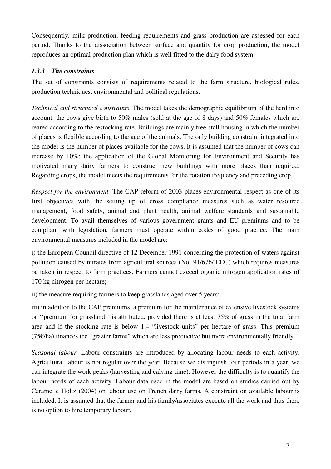Consequently, milk production, feeding requirements and grass production are assessed for each period. Thanks to the dissociation between surface and quantity for crop production, the model reproduces an optimal production plan which is well fitted to the dairy food system.

## *1.3.3 The constraints*

The set of constraints consists of requirements related to the farm structure, biological rules, production techniques, environmental and political regulations.

*Technical and structural constraints.* The model takes the demographic equilibrium of the herd into account: the cows give birth to 50% males (sold at the age of 8 days) and 50% females which are reared according to the restocking rate. Buildings are mainly free-stall housing in which the number of places is flexible according to the age of the animals. The only building constraint integrated into the model is the number of places available for the cows. It is assumed that the number of cows can increase by 10%: the application of the Global Monitoring for Environment and Security has motivated many dairy farmers to construct new buildings with more places than required. Regarding crops, the model meets the requirements for the rotation frequency and preceding crop.

*Respect for the environment.* The CAP reform of 2003 places environmental respect as one of its first objectives with the setting up of cross compliance measures such as water resource management, food safety, animal and plant health, animal welfare standards and sustainable development. To avail themselves of various government grants and EU premiums and to be compliant with legislation, farmers must operate within codes of good practice. The main environmental measures included in the model are:

i) the European Council directive of 12 December 1991 concerning the protection of waters against pollution caused by nitrates from agricultural sources (No: 91/676/ EEC) which requires measures be taken in respect to farm practices. Farmers cannot exceed organic nitrogen application rates of 170 kg nitrogen per hectare;

ii) the measure requiring farmers to keep grasslands aged over 5 years;

iii) in addition to the CAP premiums, a premium for the maintenance of extensive livestock systems or ''premium for grassland'' is attributed, provided there is at least 75% of grass in the total farm area and if the stocking rate is below 1.4 "livestock units" per hectare of grass. This premium  $(75)$  finances the "grazier farms" which are less productive but more environmentally friendly.

*Seasonal labour.* Labour constraints are introduced by allocating labour needs to each activity. Agricultural labour is not regular over the year. Because we distinguish four periods in a year, we can integrate the work peaks (harvesting and calving time). However the difficulty is to quantify the labour needs of each activity. Labour data used in the model are based on studies carried out by Caramelle Holtz (2004) on labour use on French dairy farms. A constraint on available labour is included. It is assumed that the farmer and his family/associates execute all the work and thus there is no option to hire temporary labour.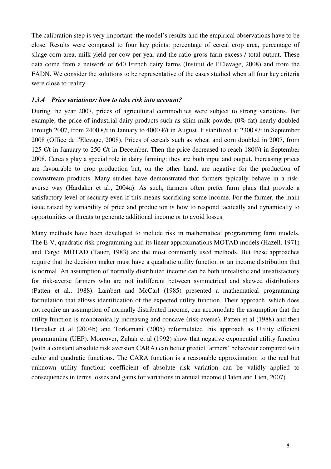The calibration step is very important: the model's results and the empirical observations have to be close. Results were compared to four key points: percentage of cereal crop area, percentage of silage corn area, milk yield per cow per year and the ratio gross farm excess / total output. These data come from a network of 640 French dairy farms (Institut de l'Elevage, 2008) and from the FADN. We consider the solutions to be representative of the cases studied when all four key criteria were close to reality.

#### *1.3.4 Price variations: how to take risk into account?*

During the year 2007, prices of agricultural commodities were subject to strong variations. For example, the price of industrial dairy products such as skim milk powder (0% fat) nearly doubled through 2007, from 2400  $\epsilon/t$  in January to 4000  $\epsilon/t$  in August. It stabilized at 2300  $\epsilon/t$  in September 2008 (Office de l'Elevage, 2008). Prices of cereals such as wheat and corn doubled in 2007, from 125 €/t in January to 250 €/t in December. Then the price decreased to reach 180€/t in September 2008. Cereals play a special role in dairy farming: they are both input and output. Increasing prices are favourable to crop production but, on the other hand, are negative for the production of downstream products. Many studies have demonstrated that farmers typically behave in a riskaverse way (Hardaker et al., 2004a). As such, farmers often prefer farm plans that provide a satisfactory level of security even if this means sacrificing some income. For the farmer, the main issue raised by variability of price and production is how to respond tactically and dynamically to opportunities or threats to generate additional income or to avoid losses.

Many methods have been developed to include risk in mathematical programming farm models. The E-V, quadratic risk programming and its linear approximations MOTAD models (Hazell, 1971) and Target MOTAD (Tauer, 1983) are the most commonly used methods. But these approaches require that the decision maker must have a quadratic utility function or an income distribution that is normal. An assumption of normally distributed income can be both unrealistic and unsatisfactory for risk-averse farmers who are not indifferent between symmetrical and skewed distributions (Patten et al., 1988). Lambert and McCarl (1985) presented a mathematical programming formulation that allows identification of the expected utility function. Their approach, which does not require an assumption of normally distributed income, can accomodate the assumption that the utility function is monotonically increasing and concave (risk-averse). Patten et al (1988) and then Hardaker et al (2004b) and Torkamani (2005) reformulated this approach as Utility efficient programming (UEP). Moreover, Zuhair et al (1992) show that negative exponential utility function (with a constant absolute risk aversion CARA) can better predict farmers' behaviour compared with cubic and quadratic functions. The CARA function is a reasonable approximation to the real but unknown utility function: coefficient of absolute risk variation can be validly applied to consequences in terms losses and gains for variations in annual income (Flaten and Lien, 2007).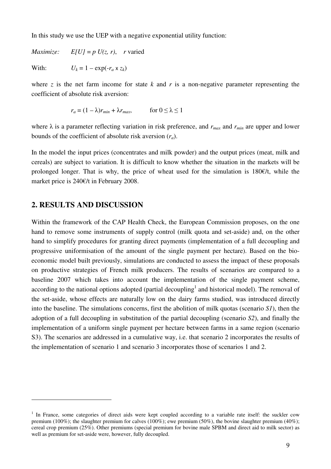In this study we use the UEP with a negative exponential utility function:

*Maximize:*  $E[U] = p U(z, r)$ , *r* varied With:  $U_k = 1 - \exp(-r_a \times z_k)$ 

where *z* is the net farm income for state *k* and *r* is a non-negative parameter representing the coefficient of absolute risk aversion:

$$
r_a = (1 - \lambda)r_{min} + \lambda r_{max}, \qquad \text{for } 0 \le \lambda \le 1
$$

where  $\lambda$  is a parameter reflecting variation in risk preference, and  $r_{max}$  and  $r_{min}$  are upper and lower bounds of the coefficient of absolute risk aversion (*ra*).

In the model the input prices (concentrates and milk powder) and the output prices (meat, milk and cereals) are subject to variation. It is difficult to know whether the situation in the markets will be prolonged longer. That is why, the price of wheat used for the simulation is  $180\epsilon/t$ , while the market price is 240€/t in February 2008.

## **2. RESULTS AND DISCUSSION**

 $\overline{a}$ 

Within the framework of the CAP Health Check, the European Commission proposes, on the one hand to remove some instruments of supply control (milk quota and set-aside) and, on the other hand to simplify procedures for granting direct payments (implementation of a full decoupling and progressive uniformisation of the amount of the single payment per hectare). Based on the bioeconomic model built previously, simulations are conducted to assess the impact of these proposals on productive strategies of French milk producers. The results of scenarios are compared to a baseline 2007 which takes into account the implementation of the single payment scheme, according to the national options adopted (partial decoupling<sup>[1](#page-10-0)</sup> and historical model). The removal of the set-aside, whose effects are naturally low on the dairy farms studied, was introduced directly into the baseline. The simulations concerns, first the abolition of milk quotas (scenario *S1*), then the adoption of a full decoupling in substitution of the partial decoupling (scenario *S2*), and finally the implementation of a uniform single payment per hectare between farms in a same region (scenario S3). The scenarios are addressed in a cumulative way, i.e. that scenario 2 incorporates the results of the implementation of scenario 1 and scenario 3 incorporates those of scenarios 1 and 2.

<span id="page-10-0"></span><sup>&</sup>lt;sup>1</sup> In France, some categories of direct aids were kept coupled according to a variable rate itself: the suckler cow premium (100%); the slaughter premium for calves (100%); ewe premium (50%), the bovine slaughter premium (40%); cereal crop premium (25%). Other premiums (special premium for bovine male SPBM and direct aid to milk sector) as well as premium for set-aside were, however, fully decoupled.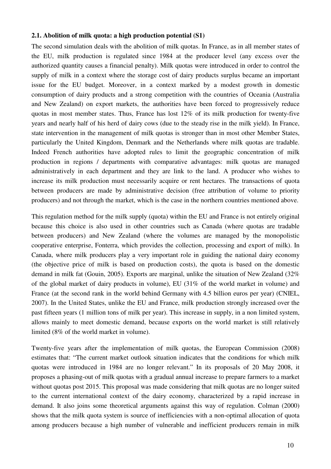#### **2.1. Abolition of milk quota: a high production potential (S1)**

The second simulation deals with the abolition of milk quotas. In France, as in all member states of the EU, milk production is regulated since 1984 at the producer level (any excess over the authorized quantity causes a financial penalty). Milk quotas were introduced in order to control the supply of milk in a context where the storage cost of dairy products surplus became an important issue for the EU budget. Moreover, in a context marked by a modest growth in domestic consumption of dairy products and a strong competition with the countries of Oceania (Australia and New Zealand) on export markets, the authorities have been forced to progressively reduce quotas in most member states. Thus, France has lost  $12\%$  of its milk production for twenty-five years and nearly half of his herd of dairy cows (due to the steady rise in the milk yield). In France, state intervention in the management of milk quotas is stronger than in most other Member States, particularly the United Kingdom, Denmark and the Netherlands where milk quotas are tradable. Indeed French authorities have adopted rules to limit the geographic concentration of milk production in regions / departments with comparative advantages: milk quotas are managed administratively in each department and they are link to the land. A producer who wishes to increase its milk production must necessarily acquire or rent hectares. The transactions of quota between producers are made by administrative decision (free attribution of volume to priority producers) and not through the market, which is the case in the northern countries mentioned above.

This regulation method for the milk supply (quota) within the EU and France is not entirely original because this choice is also used in other countries such as Canada (where quotas are tradable between producers) and New Zealand (where the volumes are managed by the monopolistic cooperative enterprise, Fonterra, which provides the collection, processing and export of milk). In Canada, where milk producers play a very important role in guiding the national dairy economy (the objective price of milk is based on production costs), the quota is based on the domestic demand in milk fat (Gouin, 2005). Exports are marginal, unlike the situation of New Zealand (32% of the global market of dairy products in volume), EU (31% of the world market in volume) and France (at the second rank in the world behind Germany with 4.5 billion euros per year) (CNIEL, 2007). In the United States, unlike the EU and France, milk production strongly increased over the past fifteen years (1 million tons of milk per year). This increase in supply, in a non limited system, allows mainly to meet domestic demand, because exports on the world market is still relatively limited (8% of the world market in volume).

Twenty-five years after the implementation of milk quotas, the European Commission (2008) estimates that: "The current market outlook situation indicates that the conditions for which milk quotas were introduced in 1984 are no longer relevant." In its proposals of 20 May 2008, it proposes a phasing-out of milk quotas with a gradual annual increase to prepare farmers to a market without quotas post 2015. This proposal was made considering that milk quotas are no longer suited to the current international context of the dairy economy, characterized by a rapid increase in demand. It also joins some theoretical arguments against this way of regulation. Colman (2000) shows that the milk quota system is source of inefficiencies with a non-optimal allocation of quota among producers because a high number of vulnerable and inefficient producers remain in milk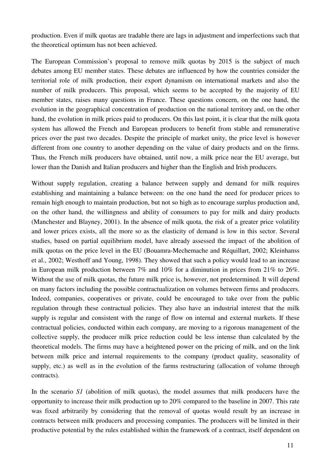production. Even if milk quotas are tradable there are lags in adjustment and imperfections such that the theoretical optimum has not been achieved.

The European Commission's proposal to remove milk quotas by 2015 is the subject of much debates among EU member states. These debates are influenced by how the countries consider the territorial role of milk production, their export dynamism on international markets and also the number of milk producers. This proposal, which seems to be accepted by the majority of EU member states, raises many questions in France. These questions concern, on the one hand, the evolution in the geographical concentration of production on the national territory and, on the other hand, the evolution in milk prices paid to producers. On this last point, it is clear that the milk quota system has allowed the French and European producers to benefit from stable and remunerative prices over the past two decades. Despite the principle of market unity, the price level is however different from one country to another depending on the value of dairy products and on the firms. Thus, the French milk producers have obtained, until now, a milk price near the EU average, but lower than the Danish and Italian producers and higher than the English and Irish producers.

Without supply regulation, creating a balance between supply and demand for milk requires establishing and maintaining a balance between: on the one hand the need for producer prices to remain high enough to maintain production, but not so high as to encourage surplus production and, on the other hand, the willingness and ability of consumers to pay for milk and dairy products (Manchester and Blayney, 2001). In the absence of milk quota, the risk of a greater price volatility and lower prices exists, all the more so as the elasticity of demand is low in this sector. Several studies, based on partial equilibrium model, have already assessed the impact of the abolition of milk quotas on the price level in the EU (Bouamra-Mechemache and Réquillart, 2002; Kleinhanss et al., 2002; Westhoff and Young, 1998). They showed that such a policy would lead to an increase in European milk production between 7% and 10% for a diminution in prices from 21% to 26%. Without the use of milk quotas, the future milk price is, however, not predetermined. It will depend on many factors including the possible contractualization on volumes between firms and producers. Indeed, companies, cooperatives or private, could be encouraged to take over from the public regulation through these contractual policies. They also have an industrial interest that the milk supply is regular and consistent with the range of flow on internal and external markets. If these contractual policies, conducted within each company, are moving to a rigorous management of the collective supply, the producer milk price reduction could be less intense than calculated by the theoretical models. The firms may have a heightened power on the pricing of milk, and on the link between milk price and internal requirements to the company (product quality, seasonality of supply, etc.) as well as in the evolution of the farms restructuring (allocation of volume through contracts).

In the scenario *S1* (abolition of milk quotas), the model assumes that milk producers have the opportunity to increase their milk production up to 20% compared to the baseline in 2007. This rate was fixed arbitrarily by considering that the removal of quotas would result by an increase in contracts between milk producers and processing companies. The producers will be limited in their productive potential by the rules established within the framework of a contract, itself dependent on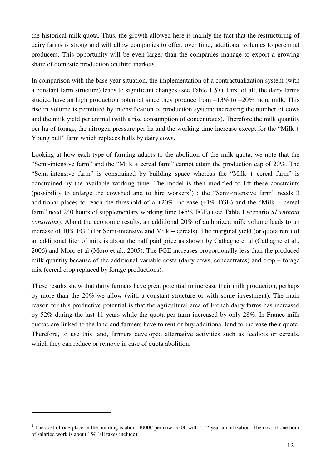the historical milk quota. Thus, the growth allowed here is mainly the fact that the restructuring of dairy farms is strong and will allow companies to offer, over time, additional volumes to perennial producers. This opportunity will be even larger than the companies manage to export a growing share of domestic production on third markets.

In comparison with the base year situation, the implementation of a contractualization system (with a constant farm structure) leads to significant changes (see [Table 1](#page-14-0) *S1*). First of all, the dairy farms studied have an high production potential since they produce from  $+13\%$  to  $+20\%$  more milk. This rise in volume is permitted by intensification of production system: increasing the number of cows and the milk yield per animal (with a rise consumption of concentrates). Therefore the milk quantity per ha of forage, the nitrogen pressure per ha and the working time increase except for the "Milk + Young bull" farm which replaces bulls by dairy cows.

Looking at how each type of farming adapts to the abolition of the milk quota, we note that the "Semi-intensive farm" and the "Milk + cereal farm" cannot attain the production cap of 20%. The "Semi-intensive farm" is constrained by building space whereas the "Milk + cereal farm" is constrained by the available working time. The model is then modified to lift these constraints (possibility to enlarge the cowshed and to hire workers<sup>[2](#page-13-0)</sup>) : the "Semi-intensive farm" needs 3 additional places to reach the threshold of a  $+20\%$  increase  $(+1\% \text{ FGE})$  and the "Milk + cereal farm" need 240 hours of supplementary working time (+5% FGE) (see [Table 1](#page-14-0) scenario *S1 without constraint*). About the economic results, an additional 20% of authorized milk volume leads to an increase of 10% FGE (for Semi-intensive and Milk + cereals). The marginal yield (or quota rent) of an additional liter of milk is about the half paid price as shown by Cathagne et al (Cathagne et al., 2006) and Moro et al (Moro et al., 2005). The FGE increases proportionally less than the produced milk quantity because of the additional variable costs (dairy cows, concentrates) and crop – forage mix (cereal crop replaced by forage productions).

These results show that dairy farmers have great potential to increase their milk production, perhaps by more than the 20% we allow (with a constant structure or with some investment). The main reason for this productive potential is that the agricultural area of French dairy farms has increased by 52% during the last 11 years while the quota per farm increased by only 28%. In France milk quotas are linked to the land and farmers have to rent or buy additional land to increase their quota. Therefore, to use this land, farmers developed alternative activities such as feedlots or cereals, which they can reduce or remove in case of quota abolition.

 $\overline{a}$ 

<span id="page-13-0"></span><sup>&</sup>lt;sup>2</sup> The cost of one place in the building is about 4000€ per cow: 330€ with a 12 year amortization. The cost of one hour of salaried work is about 15€ (all taxes include).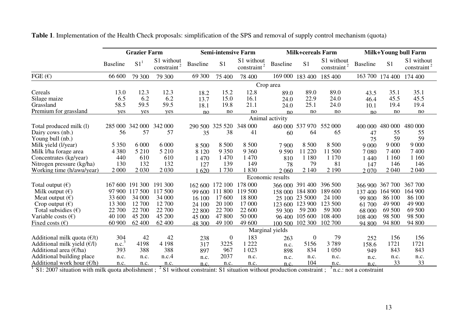|                                        | <b>Grazier Farm</b> |                 |                               | <b>Semi-intensive Farm</b> |                 |                          | <b>Milk+cereals Farm</b> |                  |                                             | Milk+Young bull Farm |                 |                                       |
|----------------------------------------|---------------------|-----------------|-------------------------------|----------------------------|-----------------|--------------------------|--------------------------|------------------|---------------------------------------------|----------------------|-----------------|---------------------------------------|
|                                        | <b>Baseline</b>     | S1 <sup>1</sup> | S1 without<br>2<br>constraint | <b>Baseline</b>            | S <sub>1</sub>  | S1 without<br>constraint | <b>Baseline</b>          | S <sub>1</sub>   | S1 without<br>$\frac{\text{constraint}}{2}$ | <b>Baseline</b>      | S <sub>1</sub>  | S1 without<br>constraint <sup>2</sup> |
| FGE $(\epsilon)$                       | 66 600              | 79 300          | 79 300                        | 69 300                     | 75 400          | 78 400                   |                          | 169 000 183 400  | 185 400                                     |                      | 163 700 174 400 | 174 400                               |
|                                        | Crop area           |                 |                               |                            |                 |                          |                          |                  |                                             |                      |                 |                                       |
| Cereals                                | 13.0                | 12.3            | 12.3                          | 18.2                       | 15.2            | 12.8                     | 89.0                     | 89.0             | 89.0                                        | 43.5                 | 35.1            | 35.1                                  |
| Silage maize                           | 6.5                 | 6.2             | 6.2                           | 13.7                       | 15.0            | 16.1                     | 24.0                     | 22.9             | 24.0                                        | 46.4                 | 45.5            | 45.5                                  |
| Grassland                              | 58.5                | 59.5            | 59.5                          | 18.1                       | 19.8            | 21.1                     | 24.0                     | 25.1             | 24.0                                        | 10.1                 | 19.4            | 19.4                                  |
| Premium for grassland                  | yes                 | yes             | yes                           | no                         | no              | no                       | no                       | no               | no                                          | no                   | no              | no                                    |
|                                        |                     |                 |                               |                            |                 |                          | Animal activity          |                  |                                             |                      |                 |                                       |
| Total produced milk (1)                | 285 000             | 342 000         | 342 000                       | 290 500                    | 325 520         | 348 000                  | 460 000                  | 537 970          | 552 000                                     | 400 000              | 480 000         | 480 000                               |
| Dairy cows (nb.)                       | 56                  | 57              | 57                            | 35                         | 38              | 41                       | 60                       | 64               | 65                                          | 47                   | 55              | 55                                    |
| Young bull (nb.)                       |                     |                 |                               |                            |                 |                          |                          |                  |                                             | 75                   | 59              | 59                                    |
| Milk yield (l/year)                    | 5 3 5 0             | 6 0 0 0         | 6 0 0 0                       | 8 500                      | 8 500           | 8 500                    | 7 9 0 0                  | 8 5 0 0          | 8 500                                       | 9 0 0 0              | 9 0 0 0         | 9 0 0 0                               |
| Milk l/ha forage area                  | 4 3 8 0             | 5 2 1 0         | 5 2 1 0                       | 8 1 2 0                    | 9 3 5 0         | 9 3 6 0                  | 9 5 9 0                  | 11 220           | 11 500                                      | 7080                 | 7400            | 7400                                  |
| Concentrates (kg/year)                 | 440                 | 610             | 610                           | 1 470                      | 1 470           | 1470                     | 810                      | 1 1 8 0          | 1 1 7 0                                     | 1 4 4 0              | 1 1 6 0         | 1 1 6 0                               |
| Nitrogen pressure (kg/ha)              | 130                 | 132             | 132                           | 127                        | 139             | 149                      | 78                       | 79               | 81                                          | 147                  | 146             | 146                                   |
| Working time (h/awu/year)              | 2 0 0 0             | 2 0 3 0         | 2 0 3 0                       | 620                        | 1730            | 830                      | 2 060                    | 2 1 4 0          | 2 1 9 0                                     | 2070                 | 2 0 4 0         | 2 0 4 0                               |
|                                        |                     |                 |                               |                            |                 |                          | Economic results         |                  |                                             |                      |                 |                                       |
| Total output $(\epsilon)$              | 167 600             | 191 300         | 191 300                       |                            | 162 600 172 100 | 178 000                  | 366 000                  | 391 400          | 396 500                                     | 366 900              | 367 700         | 367 700                               |
| Milk output $(\epsilon)$               |                     | 97 900 117 500  | 117 500                       |                            | 99 600 111 800  | 119 500                  | 158 000                  | 184 800          | 189 600                                     | 137400               | 164 900         | 164 900                               |
| Meat output $(\epsilon)$               | 33 600              | 34 000          | 34 000                        | 16 100                     | 17 600          | 18 800                   | 25 100                   | 23 5000          | 24 100                                      | 99 800               | 86 100          | 86 100                                |
| Crop output $(\epsilon)$               | 13 300              | 12 700          | 12 700                        | 24 100                     | 20 100          | 17 000                   | 123 600                  | 123 900          | 123 500                                     | 61 700               | 49 900          | 49 900                                |
| Total subsidies $(\epsilon)$           | 22 700              | 22 700          | 22 700                        | 22 800                     | 22 700          | 22 600                   | 59 300                   | 59 200           | 59 300                                      | 68 000               | 69 500          | 69 500                                |
| Variable costs $(\epsilon)$            | 40 100              | 45 200          | 45 200                        | 45 000                     | 47 800          | 50 000                   | 96 400                   | 105 600          | 108 400                                     | 108 400              | 98 500          | 98 500                                |
| Fixed costs $(\epsilon)$               | 60 900              | 62 400          | 62 400                        | 48 300                     | 49 100          | 49 600                   | 100 500                  | 102 300          | 102 700                                     | 94 800               | 94 800          | 94 800                                |
|                                        |                     |                 |                               |                            |                 |                          | Marginal yields          |                  |                                             |                      |                 |                                       |
| Additional milk quota $(\ell/t)$       | 304                 | 42              | 42                            | 238                        | $\overline{0}$  | 183                      | 263                      | $\boldsymbol{0}$ | 79                                          | 252                  | 156             | 156                                   |
| Additional milk yield $(\epsilon/l)$   | n.c. <sup>3</sup>   | 4198            | 4 1 9 8                       | 317                        | 3225            | 1 2 2 2                  | n.c.                     | 5156             | 3789                                        | 158.6                | 1721            | 1721                                  |
| Additional area $(\epsilon/\text{ha})$ | 393                 | 388             | 388                           | 897                        | 967             | 1 0 23                   | 898                      | 834              | 1 0 5 0                                     | 949                  | 843             | 843                                   |
| Additional building place              | n.c.                | n.c.            | n.c.4                         | n.c.                       | 2037            | n.c.                     | n.c.                     | n.c.             | n.c.                                        | n.c.                 | n.c.            | n.c.                                  |
| Additional work hour $(\mathcal{E}/h)$ | n.c.                | n.c.            | n.c.                          | n.c.                       | n.c.            | n.c.                     | n.c.                     | 104              | n.c.                                        | n.c.                 | 33              | 33                                    |

**Table 1**. Implementation of the Health Check proposals: simplification of the SPS and removal of supply control mechanism (quota)

<span id="page-14-0"></span><sup>1</sup> S1: 2007 situation with milk quota abolishment ; <sup>2</sup> S1 without constraint: S1 situation without production constraint ; <sup>3</sup> n.c.: not a constraint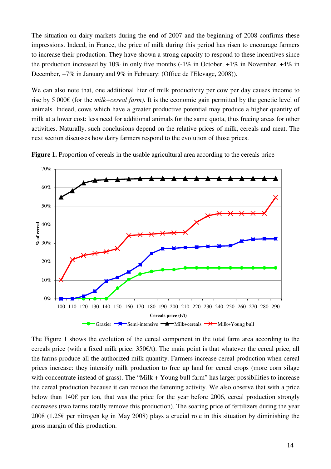The situation on dairy markets during the end of 2007 and the beginning of 2008 confirms these impressions. Indeed, in France, the price of milk during this period has risen to encourage farmers to increase their production. They have shown a strong capacity to respond to these incentives since the production increased by 10% in only five months  $(-1\%$  in October,  $+1\%$  in November,  $+4\%$  in December, +7% in January and 9% in February: (Office de l'Elevage, 2008)).

We can also note that, one additional liter of milk productivity per cow per day causes income to rise by 5 000€ (for the *milk+cereal farm)*. It is the economic gain permitted by the genetic level of animals. Indeed, cows which have a greater productive potential may produce a higher quantity of milk at a lower cost: less need for additional animals for the same quota, thus freeing areas for other activities. Naturally, such conclusions depend on the relative prices of milk, cereals and meat. The next section discusses how dairy farmers respond to the evolution of those prices.

<span id="page-15-0"></span>

**Figure 1.** Proportion of cereals in the usable agricultural area according to the cereals price

<span id="page-15-1"></span>The [Figure 1](#page-15-0) [s](#page-15-1)hows the evolution of the cereal component in the total farm area according to the cereals price (with a fixed milk price:  $350 $\epsilon/t$ ). The main point is that whatever the cereal price, all$ the farms produce all the authorized milk quantity. Farmers increase cereal production when cereal prices increase: they intensify milk production to free up land for cereal crops (more corn silage with concentrate instead of grass). The "Milk + Young bull farm" has larger possibilities to increase the cereal production because it can reduce the fattening activity. We also observe that with a price below than 140 $\epsilon$  per ton, that was the price for the year before 2006, cereal production strongly decreases (two farms totally remove this production). The soaring price of fertilizers during the year 2008 (1.25 $\epsilon$  per nitrogen kg in May 2008) plays a crucial role in this situation by diminishing the gross margin of this production.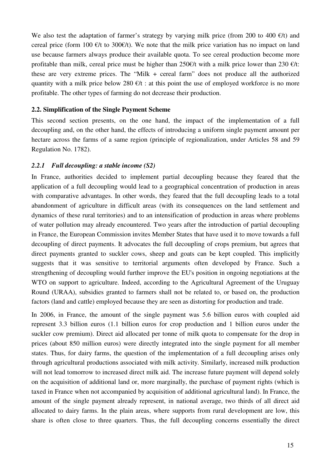We also test the adaptation of farmer's strategy by varying milk price (from 200 to 400  $\epsilon/t$ ) and cereal price (form 100  $\epsilon$ /t to 300 $\epsilon$ /t). We note that the milk price variation has no impact on land use because farmers always produce their available quota. To see cereal production become more profitable than milk, cereal price must be higher than 250 $\varepsilon$ /t with a milk price lower than 230  $\varepsilon$ /t: these are very extreme prices. The "Milk + cereal farm" does not produce all the authorized quantity with a milk price below 280  $\epsilon/t$  : at this point the use of employed workforce is no more profitable. The other types of farming do not decrease their production.

#### **2.2. Simplification of the Single Payment Scheme**

This second section presents, on the one hand, the impact of the implementation of a full decoupling and, on the other hand, the effects of introducing a uniform single payment amount per hectare across the farms of a same region (principle of regionalization, under Articles 58 and 59 Regulation No. 1782).

### *2.2.1 Full decoupling: a stable income (S2)*

In France, authorities decided to implement partial decoupling because they feared that the application of a full decoupling would lead to a geographical concentration of production in areas with comparative advantages. In other words, they feared that the full decoupling leads to a total abandonment of agriculture in difficult areas (with its consequences on the land settlement and dynamics of these rural territories) and to an intensification of production in areas where problems of water pollution may already encountered. Two years after the introduction of partial decoupling in France, the European Commission invites Member States that have used it to move towards a full decoupling of direct payments. It advocates the full decoupling of crops premium, but agrees that direct payments granted to suckler cows, sheep and goats can be kept coupled. This implicitly suggests that it was sensitive to territorial arguments often developed by France. Such a strengthening of decoupling would further improve the EU's position in ongoing negotiations at the WTO on support to agriculture. Indeed, according to the Agricultural Agreement of the Uruguay Round (URAA), subsidies granted to farmers shall not be related to, or based on, the production factors (land and cattle) employed because they are seen as distorting for production and trade.

In 2006, in France, the amount of the single payment was 5.6 billion euros with coupled aid represent 3.3 billion euros (1.1 billion euros for crop production and 1 billion euros under the suckler cow premium). Direct aid allocated per tonne of milk quota to compensate for the drop in prices (about 850 million euros) were directly integrated into the single payment for all member states. Thus, for dairy farms, the question of the implementation of a full decoupling arises only through agricultural productions associated with milk activity. Similarly, increased milk production will not lead tomorrow to increased direct milk aid. The increase future payment will depend solely on the acquisition of additional land or, more marginally, the purchase of payment rights (which is taxed in France when not accompanied by acquisition of additional agricultural land). In France, the amount of the single payment already represent, in national average, two thirds of all direct aid allocated to dairy farms. In the plain areas, where supports from rural development are low, this share is often close to three quarters. Thus, the full decoupling concerns essentially the direct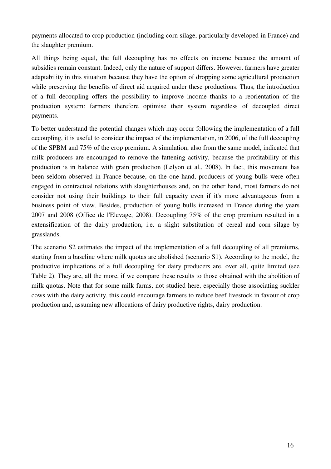payments allocated to crop production (including corn silage, particularly developed in France) and the slaughter premium.

All things being equal, the full decoupling has no effects on income because the amount of subsidies remain constant. Indeed, only the nature of support differs. However, farmers have greater adaptability in this situation because they have the option of dropping some agricultural production while preserving the benefits of direct aid acquired under these productions. Thus, the introduction of a full decoupling offers the possibility to improve income thanks to a reorientation of the production system: farmers therefore optimise their system regardless of decoupled direct payments.

To better understand the potential changes which may occur following the implementation of a full decoupling, it is useful to consider the impact of the implementation, in 2006, of the full decoupling of the SPBM and 75% of the crop premium. A simulation, also from the same model, indicated that milk producers are encouraged to remove the fattening activity, because the profitability of this production is in balance with grain production (Lelyon et al., 2008). In fact, this movement has been seldom observed in France because, on the one hand, producers of young bulls were often engaged in contractual relations with slaughterhouses and, on the other hand, most farmers do not consider not using their buildings to their full capacity even if it's more advantageous from a business point of view. Besides, production of young bulls increased in France during the years 2007 and 2008 (Office de l'Elevage, 2008). Decoupling 75% of the crop premium resulted in a extensification of the dairy production, i.e. a slight substitution of cereal and corn silage by grasslands.

The scenario S2 estimates the impact of the implementation of a full decoupling of all premiums, starting from a baseline where milk quotas are abolished (scenario S1). According to the model, the productive implications of a full decoupling for dairy producers are, over all, quite limited (see Table 2). They are, all the more, if we compare these results to those obtained with the abolition of milk quotas. Note that for some milk farms, not studied here, especially those associating suckler cows with the dairy activity, this could encourage farmers to reduce beef livestock in favour of crop production and, assuming new allocations of dairy productive rights, dairy production.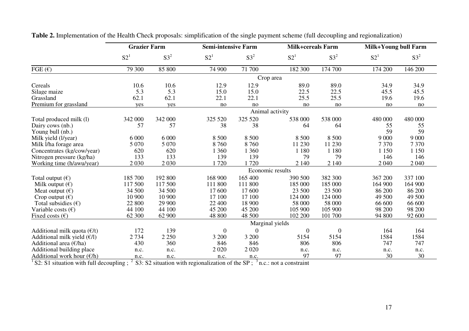|                                        | <b>Grazier Farm</b> |         | <b>Semi-intensive Farm</b> |          | <b>Milk+cereals Farm</b> |          | Milk+Young bull Farm |          |  |  |
|----------------------------------------|---------------------|---------|----------------------------|----------|--------------------------|----------|----------------------|----------|--|--|
|                                        | S2 <sup>1</sup>     | $S3^2$  | S2 <sup>1</sup>            | $S3^2$   | S2 <sup>1</sup>          | $S3^2$   | S2 <sup>1</sup>      | $S3^2$   |  |  |
| FGE $(E)$                              | 79 300              | 85 800  | 74 900                     | 71 700   | 182 300                  | 174 700  | 174 200              | 146 200  |  |  |
|                                        | Crop area           |         |                            |          |                          |          |                      |          |  |  |
| Cereals                                | 10.6                | 10.6    | 12.9                       | 12.9     | 89.0                     | 89.0     | 34.9                 | 34.9     |  |  |
| Silage maize                           | 5.3                 | 5.3     | 15.0                       | 15.0     | 22.5                     | 22.5     | 45.5                 | 45.5     |  |  |
| Grassland                              | 62.1                | 62.1    | 22.1                       | 22.1     | 25.5                     | 25.5     | 19.6                 | 19.6     |  |  |
| Premium for grassland                  | yes                 | yes     | no                         | no       | no                       | no       | no                   | $\rm no$ |  |  |
|                                        | Animal activity     |         |                            |          |                          |          |                      |          |  |  |
| Total produced milk (1)                | 342 000             | 342 000 | 325 520                    | 325 520  | 538 000                  | 538 000  | 480 000              | 480 000  |  |  |
| Dairy cows (nb.)                       | 57                  | 57      | 38                         | 38       | 64                       | 64       | 55                   | 55       |  |  |
| Young bull (nb.)                       |                     |         |                            |          |                          |          | 59                   | 59       |  |  |
| Milk yield (l/year)                    | 6 0 0 0             | 6 0 0 0 | 8 500                      | 8 500    | 8 500                    | 8 500    | 9 0 0 0              | 9 0 0 0  |  |  |
| Milk l/ha forage area                  | 5 0 7 0             | 5 0 7 0 | 8760                       | 8760     | 11 230                   | 11 230   | 7 3 7 0              | 7 3 7 0  |  |  |
| Concentrates (kg/cow/year)             | 620                 | 620     | 1 3 6 0                    | 1 360    | 1 1 8 0                  | 1 1 8 0  | 1 1 5 0              | 1 1 5 0  |  |  |
| Nitrogen pressure (kg/ha)              | 133                 | 133     | 139                        | 139      | 79                       | 79       | 146                  | 146      |  |  |
| Working time (h/awu/year)              | 2 0 3 0             | 2 0 3 0 | 1720                       | 1720     | 2 140                    | 2 1 4 0  | 2 0 4 0              | 2 0 4 0  |  |  |
|                                        | Economic results    |         |                            |          |                          |          |                      |          |  |  |
| Total output $(\epsilon)$              | 185 700             | 192 800 | 168 900                    | 165 400  | 390 500                  | 382 300  | 367 200              | 337 100  |  |  |
| Milk output $(\epsilon)$               | 117 500             | 117 500 | 111 800                    | 111 800  | 185 000                  | 185 000  | 164 900              | 164 900  |  |  |
| Meat output $(\epsilon)$               | 34 500              | 34 500  | 17 600                     | 17 600   | 23 500                   | 23 500   | 86 200               | 86 200   |  |  |
| Crop output $(\epsilon)$               | 10 900              | 10 900  | 17 100                     | 17 100   | 124 000                  | 124 000  | 49 500               | 49 500   |  |  |
| Total subsidies $(\epsilon)$           | 22 800              | 29 900  | 22 400                     | 18 900   | 58 000                   | 58 000   | 66 600               | 66 600   |  |  |
| Variable costs $(\epsilon)$            | 44 100              | 44 100  | 45 200                     | 45 200   | 105 900                  | 105 900  | 98 200               | 98 200   |  |  |
| Fixed costs $(\epsilon)$               | 62 300              | 62 900  | 48 800                     | 48 500   | 102 200                  | 101 700  | 94 800               | 92 600   |  |  |
|                                        | Marginal yields     |         |                            |          |                          |          |                      |          |  |  |
| Additional milk quota $(\epsilon/t)$   | 172                 | 139     | $\Omega$                   | $\Omega$ | $\theta$                 | $\theta$ | 164                  | 164      |  |  |
| Additional milk yield $(E/I)$          | 2 7 3 4             | 2 2 5 0 | 3 200                      | 3 200    | 5154                     | 5154     | 1584                 | 1584     |  |  |
| Additional area $(\epsilon/\text{ha})$ | 430                 | 360     | 846                        | 846      | 806                      | 806      | 747                  | 747      |  |  |
| Additional building place              | n.c.                | n.c.    | 2 0 2 0                    | 2 0 2 0  | n.c.                     | n.c.     | n.c.                 | n.c.     |  |  |
| Additional work hour $(\mathcal{E}/h)$ | n.c.                | n.c.    | n.c.                       | n.c.     | 97                       | 97       | 30                   | 30       |  |  |

**Table 2.** Implementation of the Health Check proposals: simplification of the single payment scheme (full decoupling and regionalization)

<span id="page-18-0"></span><sup>1</sup>S2: S1 situation with full decoupling ; <sup>2</sup> S3: S2 situation with regionalization of the SP ; <sup>3</sup> n.c.: not a constraint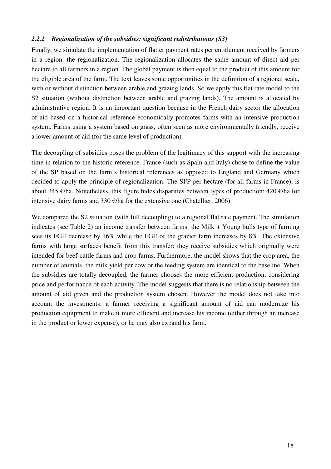#### *2.2.2 Regionalization of the subsidies: significant redistributions (S3)*

Finally, we simulate the implementation of flatter payment rates per entitlement received by farmers in a region: the regionalization. The regionalization allocates the same amount of direct aid per hectare to all farmers in a region. The global payment is then equal to the product of this amount for the eligible area of the farm. The text leaves some opportunities in the definition of a regional scale, with or without distinction between arable and grazing lands. So we apply this flat rate model to the S2 situation (without distinction between arable and grazing lands). The amount is allocated by administrative region. It is an important question because in the French dairy sector the allocation of aid based on a historical reference economically promotes farms with an intensive production system. Farms using a system based on grass, often seen as more environmentally friendly, receive a lower amount of aid (for the same level of production).

The decoupling of subsidies poses the problem of the legitimacy of this support with the increasing time in relation to the historic reference. France (such as Spain and Italy) chose to define the value of the SP based on the farm's historical references as opposed to England and Germany which decided to apply the principle of regionalization. The SFP per hectare (for all farms in France), is about 345 €/ha. Nonetheless, this figure hides disparities between types of production: 420 €/ha for intensive dairy farms and 330  $\epsilon$ /ha for the extensive one (Chatellier, 2006).

We compared the S2 situation (with full decoupling) to a regional flat rate payment. The simulation indicates (see [Table 2\)](#page-18-0) an income transfer between farms: the Milk + Young bulls type of farming sees its FGE decrease by 16% while the FGE of the grazier farm increases by 8%. The extensive farms with large surfaces benefit from this transfer: they receive subsidies which originally were intended for beef-cattle farms and crop farms. Furthermore, the model shows that the crop area, the number of animals, the milk yield per cow or the feeding system are identical to the baseline. When the subsidies are totally decoupled, the farmer chooses the more efficient production, considering price and performance of each activity. The model suggests that there is no relationship between the amount of aid given and the production system chosen. However the model does not take into account the investments: a farmer receiving a significant amount of aid can modernize his production equipment to make it more efficient and increase his income (either through an increase in the product or lower expense), or he may also expand his farm.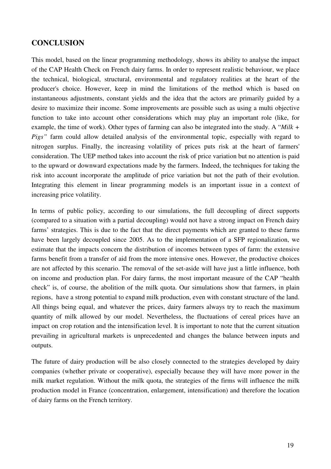## **CONCLUSION**

This model, based on the linear programming methodology, shows its ability to analyse the impact of the CAP Health Check on French dairy farms. In order to represent realistic behaviour, we place the technical, biological, structural, environmental and regulatory realities at the heart of the producer's choice. However, keep in mind the limitations of the method which is based on instantaneous adjustments, constant yields and the idea that the actors are primarily guided by a desire to maximize their income. Some improvements are possible such as using a multi objective function to take into account other considerations which may play an important role (like, for example, the time of work). Other types of farming can also be integrated into the study. A "*Milk + Pigs"* farm could allow detailed analysis of the environmental topic, especially with regard to nitrogen surplus. Finally, the increasing volatility of prices puts risk at the heart of farmers' consideration. The UEP method takes into account the risk of price variation but no attention is paid to the upward or downward expectations made by the farmers. Indeed, the techniques for taking the risk into account incorporate the amplitude of price variation but not the path of their evolution. Integrating this element in linear programming models is an important issue in a context of increasing price volatility.

In terms of public policy, according to our simulations, the full decoupling of direct supports (compared to a situation with a partial decoupling) would not have a strong impact on French dairy farms' strategies. This is due to the fact that the direct payments which are granted to these farms have been largely decoupled since 2005. As to the implementation of a SFP regionalization, we estimate that the impacts concern the distribution of incomes between types of farm: the extensive farms benefit from a transfer of aid from the more intensive ones. However, the productive choices are not affected by this scenario. The removal of the set-aside will have just a little influence, both on income and production plan. For dairy farms, the most important measure of the CAP "health check" is, of course, the abolition of the milk quota. Our simulations show that farmers, in plain regions, have a strong potential to expand milk production, even with constant structure of the land. All things being equal, and whatever the prices, dairy farmers always try to reach the maximum quantity of milk allowed by our model. Nevertheless, the fluctuations of cereal prices have an impact on crop rotation and the intensification level. It is important to note that the current situation prevailing in agricultural markets is unprecedented and changes the balance between inputs and outputs.

The future of dairy production will be also closely connected to the strategies developed by dairy companies (whether private or cooperative), especially because they will have more power in the milk market regulation. Without the milk quota, the strategies of the firms will influence the milk production model in France (concentration, enlargement, intensification) and therefore the location of dairy farms on the French territory.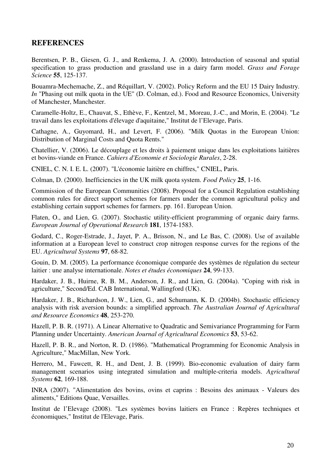## **REFERENCES**

Berentsen, P. B., Giesen, G. J., and Renkema, J. A. (2000). Introduction of seasonal and spatial specification to grass production and grassland use in a dairy farm model. *Grass and Forage Science* **55**, 125-137.

Bouamra-Mechemache, Z., and Réquillart, V. (2002). Policy Reform and the EU 15 Dairy Industry. *In* "Phasing out milk quota in the UE" (D. Colman, ed.). Food and Resource Economics, University of Manchester, Manchester.

Caramelle-Holtz, E., Chauvat, S., Ethève, F., Kentzel, M., Moreau, J.-C., and Morin, E. (2004). "Le travail dans les exploitations d'élevage d'aquitaine," Institut de l'Elevage, Paris.

Cathagne, A., Guyomard, H., and Levert, F. (2006). "Milk Quotas in the European Union: Distribution of Marginal Costs and Quota Rents."

Chatellier, V. (2006). Le découplage et les droits à paiement unique dans les exploitations laitières et bovins-viande en France. *Cahiers d'Economie et Sociologie Rurales*, 2-28.

CNIEL, C. N. I. E. L. (2007). "L'économie laitière en chiffres," CNIEL, Paris.

Colman, D. (2000). Inefficiencies in the UK milk quota system. *Food Policy* **25**, 1-16.

Commission of the European Communities (2008). Proposal for a Council Regulation establishing common rules for direct support schemes for farmers under the common agricultural policy and establishing certain support schemes for farmers. pp. 161. European Union.

Flaten, O., and Lien, G. (2007). Stochastic utility-efficient programming of organic dairy farms. *European Journal of Operational Research* **181**, 1574-1583.

Godard, C., Roger-Estrade, J., Jayet, P. A., Brisson, N., and Le Bas, C. (2008). Use of available information at a European level to construct crop nitrogen response curves for the regions of the EU. *Agricultural Systems* **97**, 68-82.

Gouin, D. M. (2005). La performance économique comparée des systèmes de régulation du secteur laitier : une analyse internationale. *Notes et études économiques* **24**, 99-133.

Hardaker, J. B., Huirne, R. B. M., Anderson, J. R., and Lien, G. (2004a). "Coping with risk in agriculture," Second/Ed. CAB International, Wallingford (UK).

Hardaker, J. B., Richardson, J. W., Lien, G., and Schumann, K. D. (2004b). Stochastic efficiency analysis with risk aversion bounds: a simplified approach. *The Australian Journal of Agricultural and Resource Economics* **48**, 253-270.

Hazell, P. B. R. (1971). A Linear Alternative to Quadratic and Semivariance Programming for Farm Planning under Uncertainty. *American Journal of Agricultural Economics* **53**, 53-62.

Hazell, P. B. R., and Norton, R. D. (1986). "Mathematical Programming for Economic Analysis in Agriculture," MacMillan, New York.

Herrero, M., Fawcett, R. H., and Dent, J. B. (1999). Bio-economic evaluation of dairy farm management scenarios using integrated simulation and multiple-criteria models. *Agricultural Systems* **62**, 169-188.

INRA (2007). "Alimentation des bovins, ovins et caprins : Besoins des animaux - Valeurs des aliments," Editions Quae, Versailles.

Institut de l'Elevage (2008). "Les systèmes bovins laitiers en France : Repères techniques et économiques," Institut de l'Elevage, Paris.